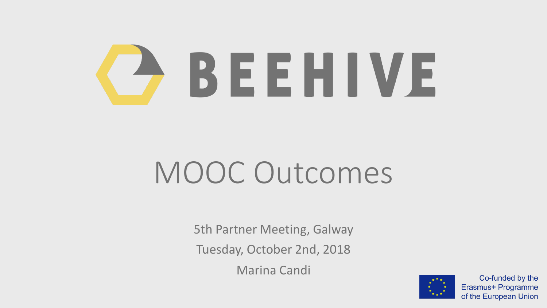# BEEHIVE

## MOOC Outcomes

5th Partner Meeting, Galway Tuesday, October 2nd, 2018 Marina Candi

Co-funded by the Erasmus+ Programme of the European Union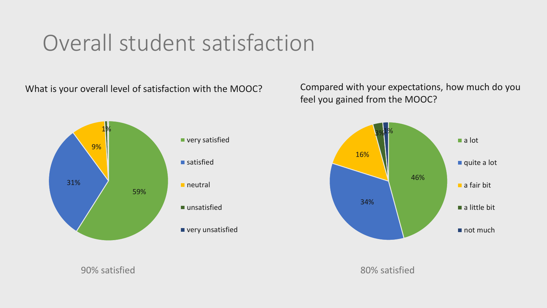#### Overall student satisfaction



What is your overall level of satisfaction with the MOOC? Compared with your expectations, how much do you feel you gained from the MOOC?



extending the satisfied and the set of the set of the set of the set of the set of the set of the set of the set of the set of the set of the set of the set of the set of the set of the set of the set of the set of the set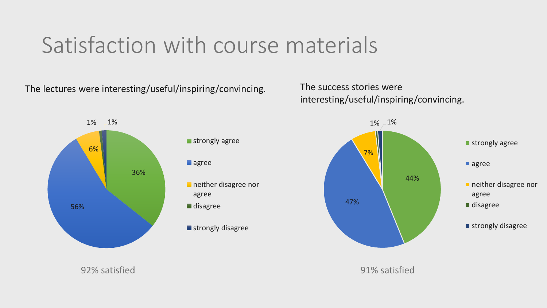#### Satisfaction with course materials

The lectures were interesting/useful/inspiring/convincing. The success stories were





interesting/useful/inspiring/convincing.



92% satisfied 91% satisfied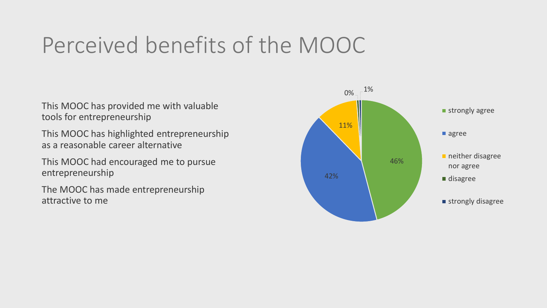#### Perceived benefits of the MOOC

This MOOC has provided me with valuable tools for entrepreneurship

This MOOC has highlighted entrepreneurship as a reasonable career alternative

This MOOC had encouraged me to pursue entrepreneurship

The MOOC has made entrepreneurship attractive to me

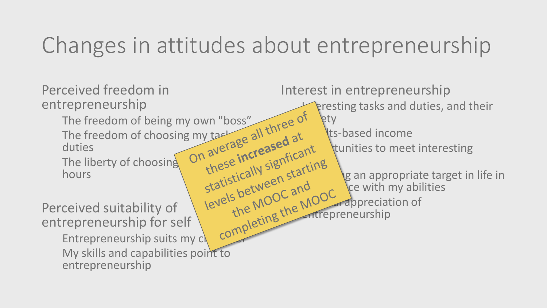### Changes in attitudes about entrepreneurship

Perceived freedom in entrepreneurship The freedom of being my own "boss"<br>The freedom of choosing my task all three dat<br>duties<br>The liberty of choosing on average all three dat The freedom of choosing my tasking all the distribution duties<br>The liberty of choosing on average increased at<br>hours duties The liberty of choosing hours Perceived suitability of entrepreneurship for self Entrepreneurship suits my character of the MOOC and MOOC and My skills and capabilities point to entrepreneurship Interest in entrepreneurship presting tasks and duties, and their iv own "boss" little of fity **Kts-based income** tunities to meet interesting levels between starting istically een state. The an appropriate target in life in<br>She MOOC and ce with my abilities<br>the MOOC appreciation of ce with my abilities **Appreciation of Entrepreneurship**